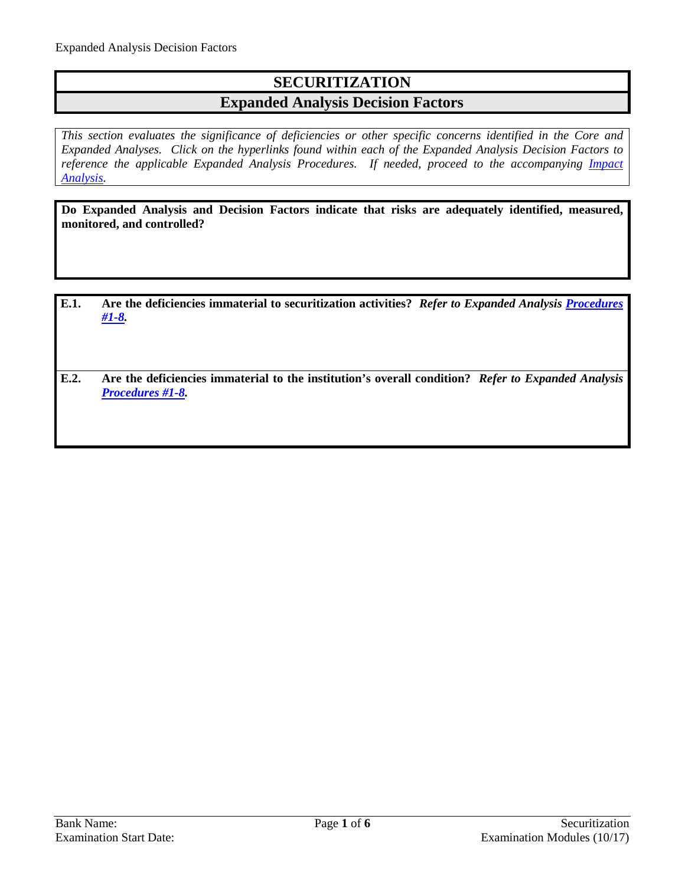# **SECURITIZATION**

### **Expanded Analysis Decision Factors**

*This section evaluates the significance of deficiencies or other specific concerns identified in the Core and Expanded Analyses. Click on the hyperlinks found within each of the Expanded Analysis Decision Factors to reference the applicable Expanded Analysis Procedures. If needed, proceed to the accompanying Impact [Analysis.](#page-4-0)*

**Do Expanded Analysis and Decision Factors indicate that risks are adequately identified, measured, monitored, and controlled?** 

- **E.1. Are the deficiencies immaterial to securitization activities?** *Refer to Expanded Analysis [Procedures](#page-1-0)  [#1-8.](#page-1-0)*
- **E.2. Are the deficiencies immaterial to the institution's overall condition?** *Refer to Expanded Analysis [Procedures #1-8.](#page-1-0)*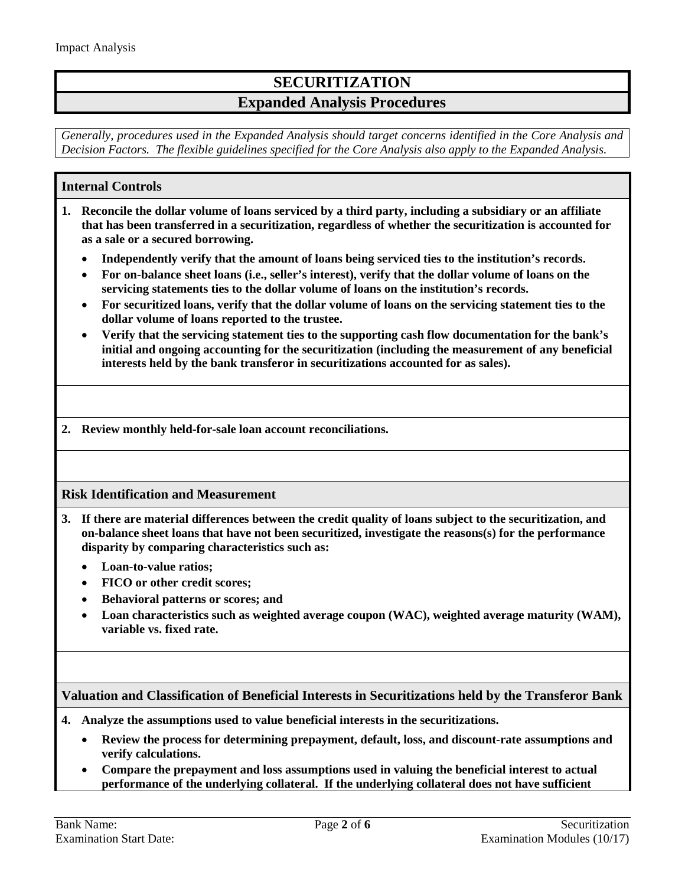## **SECURITIZATION**

### **Expanded Analysis Procedures**

*Generally, procedures used in the Expanded Analysis should target concerns identified in the Core Analysis and Decision Factors. The flexible guidelines specified for the Core Analysis also apply to the Expanded Analysis.*

#### <span id="page-1-0"></span>**Internal Controls**

- **1. Reconcile the dollar volume of loans serviced by a third party, including a subsidiary or an affiliate that has been transferred in a securitization, regardless of whether the securitization is accounted for as a sale or a secured borrowing.**
	- **Independently verify that the amount of loans being serviced ties to the institution's records.**
	- **For on-balance sheet loans (i.e., seller's interest), verify that the dollar volume of loans on the servicing statements ties to the dollar volume of loans on the institution's records.**
	- **For securitized loans, verify that the dollar volume of loans on the servicing statement ties to the dollar volume of loans reported to the trustee.**
	- **Verify that the servicing statement ties to the supporting cash flow documentation for the bank's initial and ongoing accounting for the securitization (including the measurement of any beneficial interests held by the bank transferor in securitizations accounted for as sales).**

**2. Review monthly held-for-sale loan account reconciliations.**

#### **Risk Identification and Measurement**

- **3. If there are material differences between the credit quality of loans subject to the securitization, and on-balance sheet loans that have not been securitized, investigate the reasons(s) for the performance disparity by comparing characteristics such as:**
	- **Loan-to-value ratios;**
	- **FICO or other credit scores;**
	- **Behavioral patterns or scores; and**
	- **Loan characteristics such as weighted average coupon (WAC), weighted average maturity (WAM), variable vs. fixed rate.**

#### **Valuation and Classification of Beneficial Interests in Securitizations held by the Transferor Bank**

- **4. Analyze the assumptions used to value beneficial interests in the securitizations.**
	- **Review the process for determining prepayment, default, loss, and discount-rate assumptions and verify calculations.**
	- **Compare the prepayment and loss assumptions used in valuing the beneficial interest to actual performance of the underlying collateral. If the underlying collateral does not have sufficient**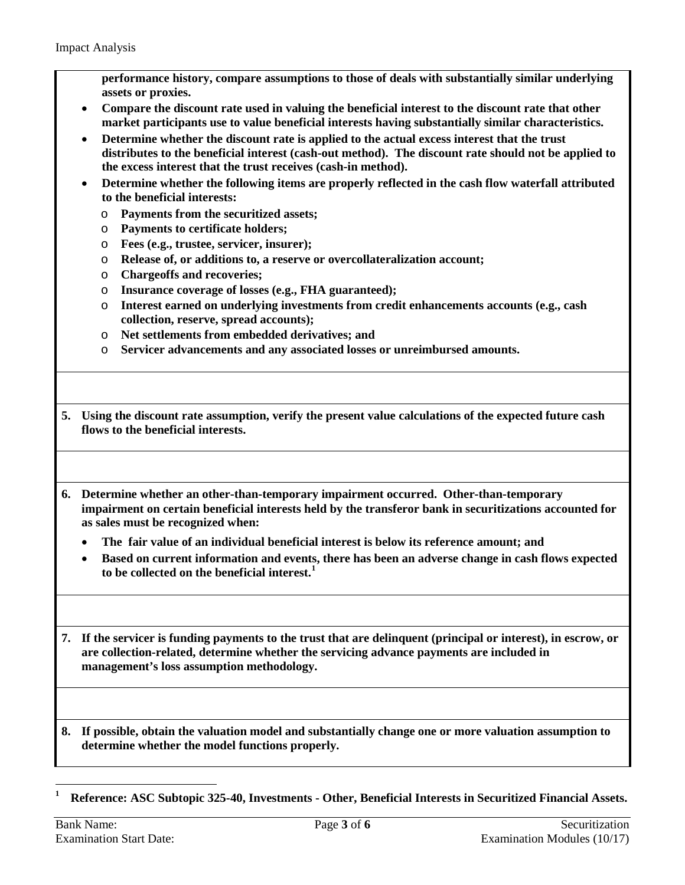**performance history, compare assumptions to those of deals with substantially similar underlying assets or proxies.**

- **Compare the discount rate used in valuing the beneficial interest to the discount rate that other market participants use to value beneficial interests having substantially similar characteristics.**
- **Determine whether the discount rate is applied to the actual excess interest that the trust distributes to the beneficial interest (cash-out method). The discount rate should not be applied to the excess interest that the trust receives (cash-in method).**
- **Determine whether the following items are properly reflected in the cash flow waterfall attributed to the beneficial interests:**
	- o **Payments from the securitized assets;**
	- o **Payments to certificate holders;**
	- o **Fees (e.g., trustee, servicer, insurer);**
	- o **Release of, or additions to, a reserve or overcollateralization account;**
	- o **Chargeoffs and recoveries;**
	- o **Insurance coverage of losses (e.g., FHA guaranteed);**
	- o **Interest earned on underlying investments from credit enhancements accounts (e.g., cash collection, reserve, spread accounts);**
	- o **Net settlements from embedded derivatives; and**
	- o **Servicer advancements and any associated losses or unreimbursed amounts.**
- **5. Using the discount rate assumption, verify the present value calculations of the expected future cash flows to the beneficial interests.**
- **6. Determine whether an other-than-temporary impairment occurred. Other-than-temporary impairment on certain beneficial interests held by the transferor bank in securitizations accounted for as sales must be recognized when:**
	- **The fair value of an individual beneficial interest is below its reference amount; and**
	- **Based on current information and events, there has been an adverse change in cash flows expected to be collected on the beneficial interest. [1](#page-2-0)**

**7. If the servicer is funding payments to the trust that are delinquent (principal or interest), in escrow, or are collection-related, determine whether the servicing advance payments are included in management's loss assumption methodology.**

**8. If possible, obtain the valuation model and substantially change one or more valuation assumption to determine whether the model functions properly.**

<span id="page-2-0"></span> $\overline{a}$ **<sup>1</sup> Reference: ASC Subtopic 325-40, Investments - Other, Beneficial Interests in Securitized Financial Assets.**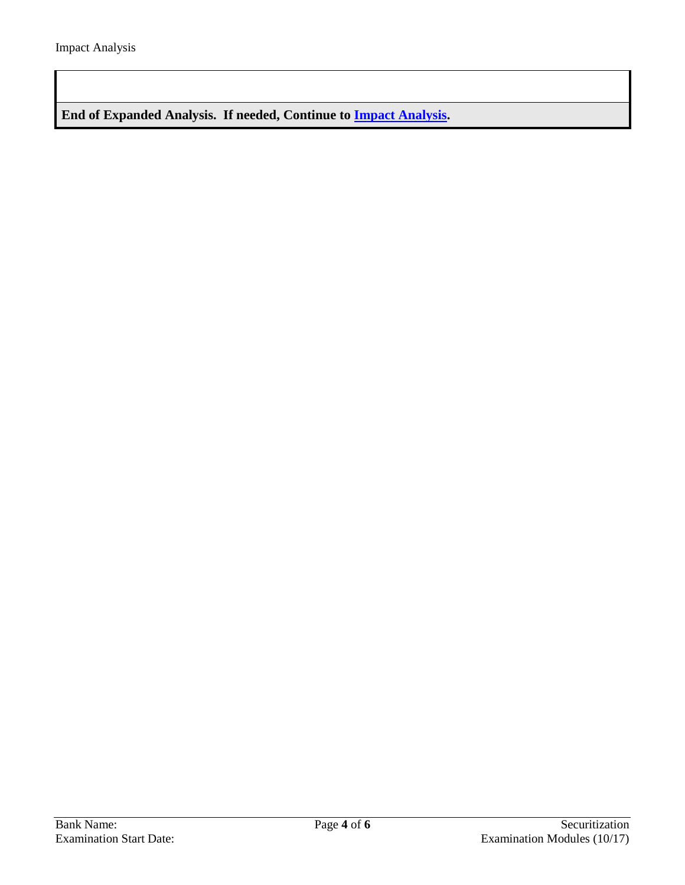**End of Expanded Analysis. If needed, Continue to [Impact Analysis.](#page-4-0)**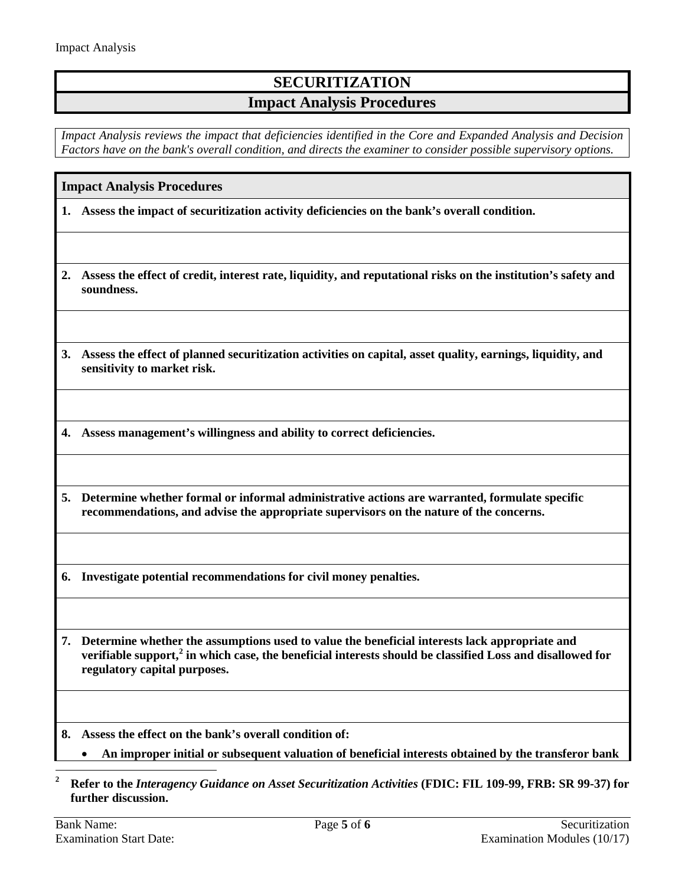## **SECURITIZATION Impact Analysis Procedures**

*Impact Analysis reviews the impact that deficiencies identified in the Core and Expanded Analysis and Decision Factors have on the bank's overall condition, and directs the examiner to consider possible supervisory options.*

#### <span id="page-4-0"></span>**Impact Analysis Procedures**

**1. Assess the impact of securitization activity deficiencies on the bank's overall condition.** 

**2. Assess the effect of credit, interest rate, liquidity, and reputational risks on the institution's safety and soundness.** 

**3. Assess the effect of planned securitization activities on capital, asset quality, earnings, liquidity, and sensitivity to market risk.**

**4. Assess management's willingness and ability to correct deficiencies.**

**5. Determine whether formal or informal administrative actions are warranted, formulate specific recommendations, and advise the appropriate supervisors on the nature of the concerns.**

**6. Investigate potential recommendations for civil money penalties.**

**7. Determine whether the assumptions used to value the beneficial interests lack appropriate and verifiable support, [2](#page-4-1) in which case, the beneficial interests should be classified Loss and disallowed for regulatory capital purposes.**

**8. Assess the effect on the bank's overall condition of:**

• **An improper initial or subsequent valuation of beneficial interests obtained by the transferor bank** 

<span id="page-4-1"></span>**<sup>2</sup> Refer to the** *Interagency Guidance on Asset Securitization Activities* **(FDIC: FIL 109-99, FRB: SR 99-37) for further discussion.**